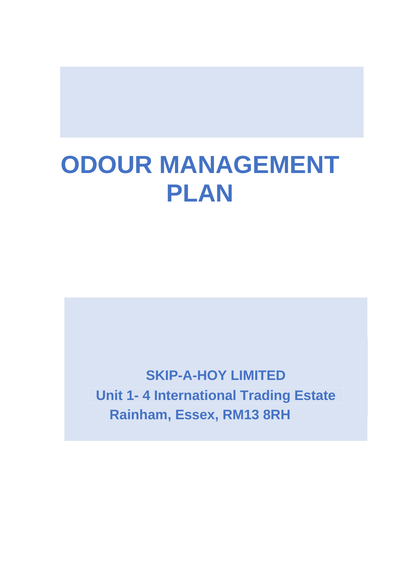# **ODOUR MANAGEMENT PLAN**

**SKIP-A-HOY LIMITED Unit 1- 4 International Trading Estate Rainham, Essex, RM13 8RH**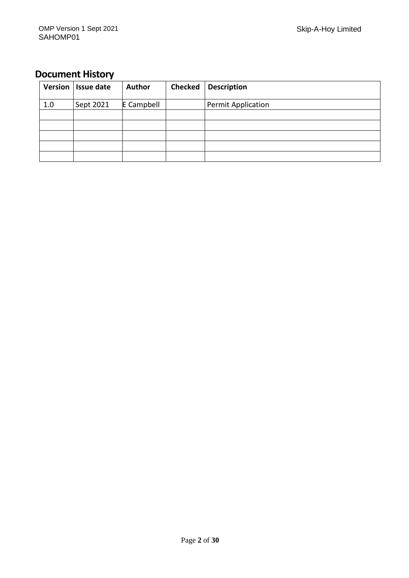# **Document History**

| <b>Version</b> | <b>Issue date</b> | <b>Author</b> | <b>Checked</b> | <b>Description</b>        |
|----------------|-------------------|---------------|----------------|---------------------------|
| 1.0            | Sept 2021         | E Campbell    |                | <b>Permit Application</b> |
|                |                   |               |                |                           |
|                |                   |               |                |                           |
|                |                   |               |                |                           |
|                |                   |               |                |                           |
|                |                   |               |                |                           |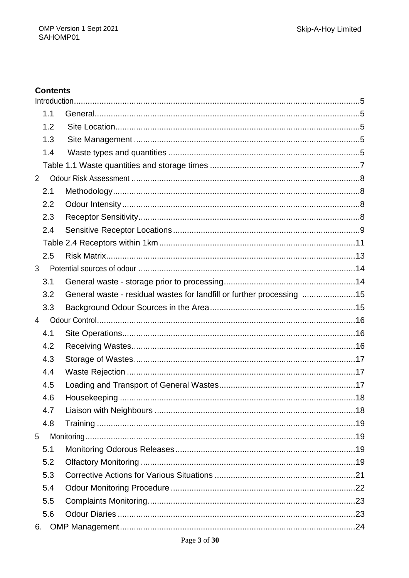### **Contents**

| 1.1            |                                                                       |  |
|----------------|-----------------------------------------------------------------------|--|
| 1.2            |                                                                       |  |
| 1.3            |                                                                       |  |
| 1.4            |                                                                       |  |
|                |                                                                       |  |
| 2              |                                                                       |  |
| 2.1            |                                                                       |  |
| 2.2            |                                                                       |  |
| 2.3            |                                                                       |  |
| 2.4            |                                                                       |  |
|                |                                                                       |  |
| 2.5            |                                                                       |  |
| 3              |                                                                       |  |
| 3.1            |                                                                       |  |
| 3.2            | General waste - residual wastes for landfill or further processing 15 |  |
| 3.3            |                                                                       |  |
|                |                                                                       |  |
| $\overline{4}$ |                                                                       |  |
| 4.1            |                                                                       |  |
| 4.2            |                                                                       |  |
| 4.3            |                                                                       |  |
| 4.4            |                                                                       |  |
| 4.5            |                                                                       |  |
| 4.6            |                                                                       |  |
| 4.7            |                                                                       |  |
| 4.8            |                                                                       |  |
| 5              |                                                                       |  |
| 5.1            |                                                                       |  |
| 5.2            |                                                                       |  |
| 5.3            |                                                                       |  |
| 5.4            |                                                                       |  |
| 5.5            |                                                                       |  |
| 5.6            |                                                                       |  |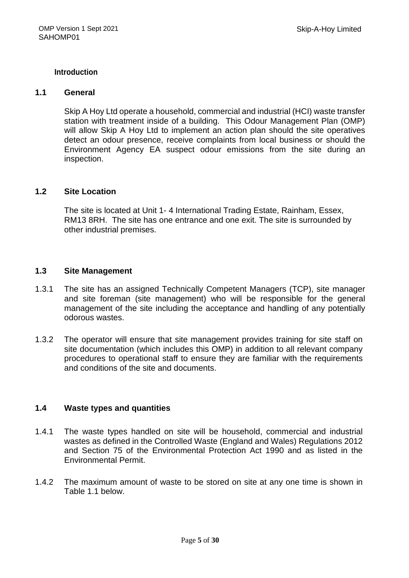#### **Introduction**

#### **1.1 General**

Skip A Hoy Ltd operate a household, commercial and industrial (HCI) waste transfer station with treatment inside of a building. This Odour Management Plan (OMP) will allow Skip A Hoy Ltd to implement an action plan should the site operatives detect an odour presence, receive complaints from local business or should the Environment Agency EA suspect odour emissions from the site during an inspection.

#### **1.2 Site Location**

The site is located at Unit 1- 4 International Trading Estate, Rainham, Essex, RM13 8RH. The site has one entrance and one exit. The site is surrounded by other industrial premises.

#### **1.3 Site Management**

- 1.3.1 The site has an assigned Technically Competent Managers (TCP), site manager and site foreman (site management) who will be responsible for the general management of the site including the acceptance and handling of any potentially odorous wastes.
- 1.3.2 The operator will ensure that site management provides training for site staff on site documentation (which includes this OMP) in addition to all relevant company procedures to operational staff to ensure they are familiar with the requirements and conditions of the site and documents.

#### **1.4 Waste types and quantities**

- 1.4.1 The waste types handled on site will be household, commercial and industrial wastes as defined in the Controlled Waste (England and Wales) Regulations 2012 and Section 75 of the Environmental Protection Act 1990 and as listed in the Environmental Permit.
- 1.4.2 The maximum amount of waste to be stored on site at any one time is shown in Table 1.1 below.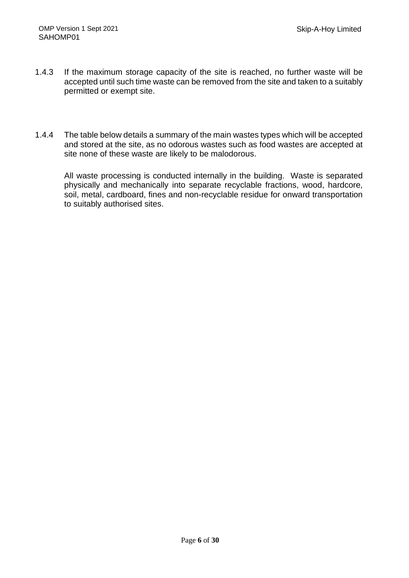- 1.4.3 If the maximum storage capacity of the site is reached, no further waste will be accepted until such time waste can be removed from the site and taken to a suitably permitted or exempt site.
- 1.4.4 The table below details a summary of the main wastes types which will be accepted and stored at the site, as no odorous wastes such as food wastes are accepted at site none of these waste are likely to be malodorous.

 All waste processing is conducted internally in the building. Waste is separated physically and mechanically into separate recyclable fractions, wood, hardcore, soil, metal, cardboard, fines and non-recyclable residue for onward transportation to suitably authorised sites.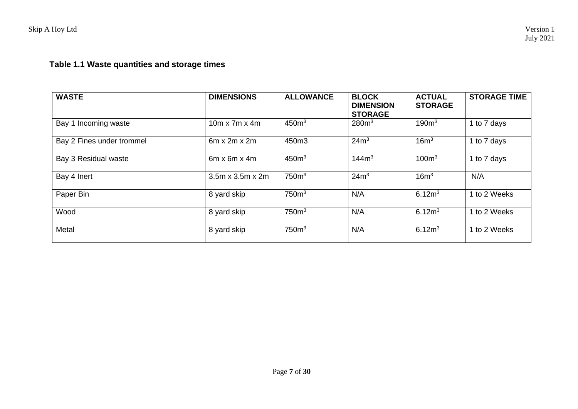# **Table 1.1 Waste quantities and storage times**

| <b>WASTE</b>              | <b>DIMENSIONS</b>            | <b>ALLOWANCE</b>  | <b>BLOCK</b><br><b>DIMENSION</b><br><b>STORAGE</b> | <b>ACTUAL</b><br><b>STORAGE</b> | <b>STORAGE TIME</b> |
|---------------------------|------------------------------|-------------------|----------------------------------------------------|---------------------------------|---------------------|
| Bay 1 Incoming waste      | $10m \times 7m \times 4m$    | 450 <sup>m3</sup> | 280m <sup>3</sup>                                  | 190 <sup>m3</sup>               | 1 to 7 days         |
| Bay 2 Fines under trommel | $6m \times 2m \times 2m$     | 450m3             | 24m <sup>3</sup>                                   | 16m <sup>3</sup>                | 1 to 7 days         |
| Bay 3 Residual waste      | $6m \times 6m \times 4m$     | 450 <sup>m3</sup> | 144m <sup>3</sup>                                  | 100 <sup>m3</sup>               | 1 to 7 days         |
| Bay 4 Inert               | $3.5m \times 3.5m \times 2m$ | 750 <sup>m3</sup> | 24m <sup>3</sup>                                   | 16m <sup>3</sup>                | N/A                 |
| Paper Bin                 | 8 yard skip                  | 750 <sup>m3</sup> | N/A                                                | 6.12 <sup>m</sup>               | 1 to 2 Weeks        |
| Wood                      | 8 yard skip                  | 750 <sup>m3</sup> | N/A                                                | 6.12 <sup>m</sup>               | 1 to 2 Weeks        |
| Metal                     | 8 yard skip                  | 750 <sup>m3</sup> | N/A                                                | 6.12m <sup>3</sup>              | 1 to 2 Weeks        |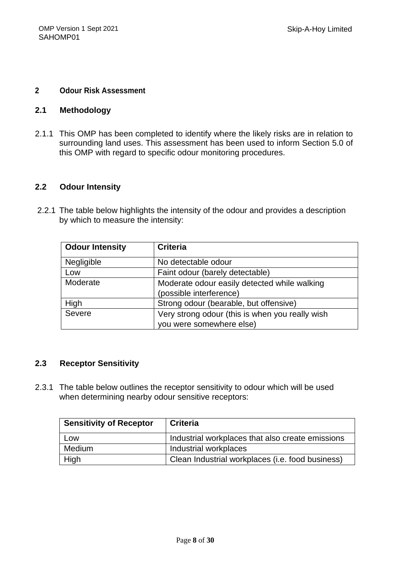#### **2 Odour Risk Assessment**

#### **2.1 Methodology**

2.1.1 This OMP has been completed to identify where the likely risks are in relation to surrounding land uses. This assessment has been used to inform Section 5.0 of this OMP with regard to specific odour monitoring procedures.

#### **2.2 Odour Intensity**

 2.2.1 The table below highlights the intensity of the odour and provides a description by which to measure the intensity:

| <b>Odour Intensity</b> | <b>Criteria</b>                                 |
|------------------------|-------------------------------------------------|
| Negligible             | No detectable odour                             |
| Low                    | Faint odour (barely detectable)                 |
| Moderate               | Moderate odour easily detected while walking    |
|                        | (possible interference)                         |
| High                   | Strong odour (bearable, but offensive)          |
| Severe                 | Very strong odour (this is when you really wish |
|                        | you were somewhere else)                        |

#### **2.3 Receptor Sensitivity**

2.3.1 The table below outlines the receptor sensitivity to odour which will be used when determining nearby odour sensitive receptors:

| <b>Sensitivity of Receptor</b> | <b>Criteria</b>                                  |
|--------------------------------|--------------------------------------------------|
| Low                            | Industrial workplaces that also create emissions |
| Medium                         | Industrial workplaces                            |
| High                           | Clean Industrial workplaces (i.e. food business) |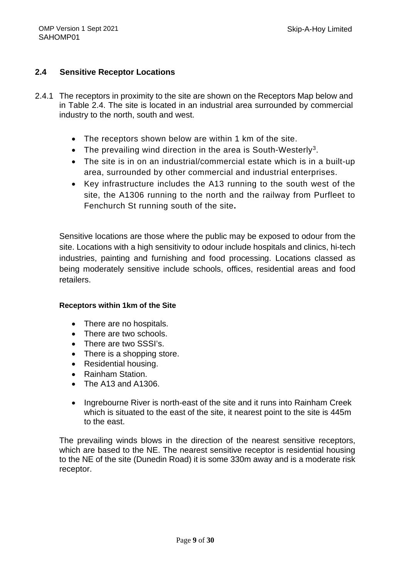#### **2.4 Sensitive Receptor Locations**

- 2.4.1 The receptors in proximity to the site are shown on the Receptors Map below and in Table 2.4. The site is located in an industrial area surrounded by commercial industry to the north, south and west.
	- The receptors shown below are within 1 km of the site.
	- The prevailing wind direction in the area is South-Westerly<sup>3</sup>.
	- The site is in on an industrial/commercial estate which is in a built-up area, surrounded by other commercial and industrial enterprises.
	- Key infrastructure includes the A13 running to the south west of the site, the A1306 running to the north and the railway from Purfleet to Fenchurch St running south of the site**.**

Sensitive locations are those where the public may be exposed to odour from the site. Locations with a high sensitivity to odour include hospitals and clinics, hi-tech industries, painting and furnishing and food processing. Locations classed as being moderately sensitive include schools, offices, residential areas and food retailers.

#### **Receptors within 1km of the Site**

- There are no hospitals.
- There are two schools.
- There are two SSSI's.
- There is a shopping store.
- Residential housing.
- Rainham Station.
- The A13 and A1306.
- Ingrebourne River is north-east of the site and it runs into Rainham Creek which is situated to the east of the site, it nearest point to the site is 445m to the east.

The prevailing winds blows in the direction of the nearest sensitive receptors, which are based to the NE. The nearest sensitive receptor is residential housing to the NE of the site (Dunedin Road) it is some 330m away and is a moderate risk receptor.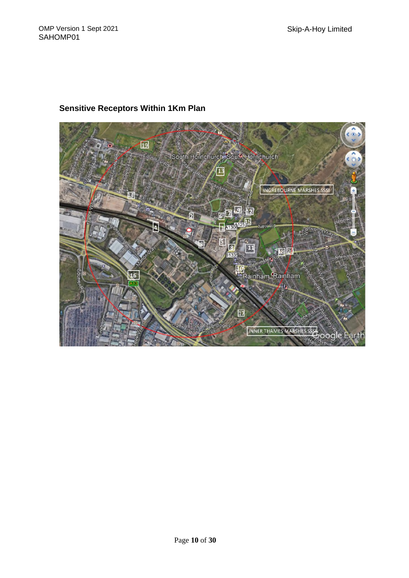

#### **Sensitive Receptors Within 1Km Plan**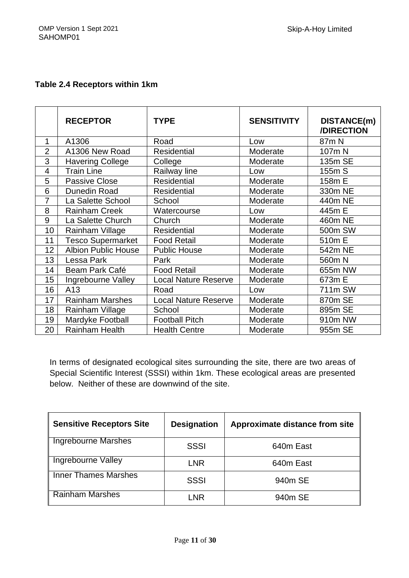#### **Table 2.4 Receptors within 1km**

|                | <b>RECEPTOR</b>            | <b>TYPE</b>                 | <b>SENSITIVITY</b> | DISTANCE(m)<br>/DIRECTION |
|----------------|----------------------------|-----------------------------|--------------------|---------------------------|
| 1              | A1306                      | Road                        | Low                | 87 <sub>m</sub> N         |
| $\overline{2}$ | A1306 New Road             | <b>Residential</b>          | Moderate           | 107m N                    |
| 3              | <b>Havering College</b>    | College                     | Moderate           | 135m SE                   |
| 4              | Train Line                 | Railway line                | Low                | 155m S                    |
| 5              | <b>Passive Close</b>       | Residential                 | Moderate           | 158m E                    |
| 6              | Dunedin Road               | <b>Residential</b>          | Moderate           | 330m NE                   |
| $\overline{7}$ | La Salette School          | School                      | Moderate           | 440m NE                   |
| 8              | <b>Rainham Creek</b>       | Watercourse                 | Low                | 445m E                    |
| 9              | La Salette Church          | Church                      | Moderate           | 460m NE                   |
| 10             | Rainham Village            | <b>Residential</b>          | Moderate           | 500m SW                   |
| 11             | <b>Tesco Supermarket</b>   | <b>Food Retail</b>          | Moderate           | 510m E                    |
| 12             | <b>Albion Public House</b> | <b>Public House</b>         | Moderate           | 542m NE                   |
| 13             | Lessa Park                 | Park                        | Moderate           | 560m N                    |
| 14             | Beam Park Café             | <b>Food Retail</b>          | Moderate           | 655m NW                   |
| 15             | Ingrebourne Valley         | <b>Local Nature Reserve</b> | Moderate           | 673m E                    |
| 16             | A13                        | Road                        | Low                | 711m SW                   |
| 17             | <b>Rainham Marshes</b>     | <b>Local Nature Reserve</b> | Moderate           | 870m SE                   |
| 18             | Rainham Village            | School                      | Moderate           | 895m SE                   |
| 19             | Mardyke Football           | <b>Football Pitch</b>       | Moderate           | 910m NW                   |
| 20             | <b>Rainham Health</b>      | <b>Health Centre</b>        | Moderate           | 955m SE                   |

In terms of designated ecological sites surrounding the site, there are two areas of Special Scientific Interest (SSSI) within 1km. These ecological areas are presented below. Neither of these are downwind of the site.

| <b>Sensitive Receptors Site</b> | <b>Designation</b> | Approximate distance from site |
|---------------------------------|--------------------|--------------------------------|
| Ingrebourne Marshes             | <b>SSSI</b>        | 640m East                      |
| Ingrebourne Valley              | <b>LNR</b>         | 640m East                      |
| <b>Inner Thames Marshes</b>     | <b>SSSI</b>        | 940m SE                        |
| <b>Rainham Marshes</b>          | LNR                | 940m SE                        |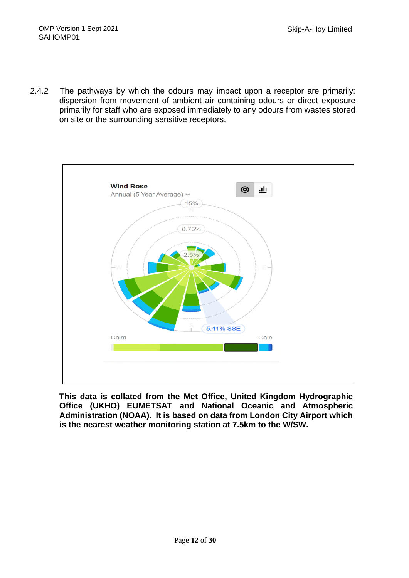2.4.2 The pathways by which the odours may impact upon a receptor are primarily: dispersion from movement of ambient air containing odours or direct exposure primarily for staff who are exposed immediately to any odours from wastes stored on site or the surrounding sensitive receptors.



**This data is collated from the Met Office, United Kingdom Hydrographic Office (UKHO) EUMETSAT and National Oceanic and Atmospheric Administration (NOAA). It is based on data from London City Airport which is the nearest weather monitoring station at 7.5km to the W/SW.**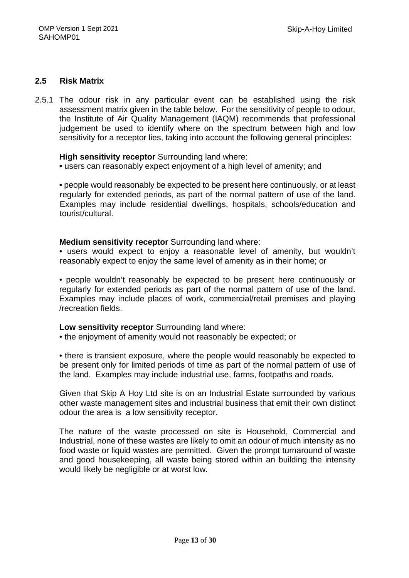#### **2.5 Risk Matrix**

2.5.1 The odour risk in any particular event can be established using the risk assessment matrix given in the table below. For the sensitivity of people to odour, the Institute of Air Quality Management (IAQM) recommends that professional judgement be used to identify where on the spectrum between high and low sensitivity for a receptor lies, taking into account the following general principles:

#### **High sensitivity receptor** Surrounding land where:

• users can reasonably expect enjoyment of a high level of amenity; and

• people would reasonably be expected to be present here continuously, or at least regularly for extended periods, as part of the normal pattern of use of the land. Examples may include residential dwellings, hospitals, schools/education and tourist/cultural.

#### **Medium sensitivity receptor** Surrounding land where:

• users would expect to enjoy a reasonable level of amenity, but wouldn't reasonably expect to enjoy the same level of amenity as in their home; or

• people wouldn't reasonably be expected to be present here continuously or regularly for extended periods as part of the normal pattern of use of the land. Examples may include places of work, commercial/retail premises and playing /recreation fields.

#### **Low sensitivity receptor** Surrounding land where:

• the enjoyment of amenity would not reasonably be expected; or

• there is transient exposure, where the people would reasonably be expected to be present only for limited periods of time as part of the normal pattern of use of the land. Examples may include industrial use, farms, footpaths and roads.

Given that Skip A Hoy Ltd site is on an Industrial Estate surrounded by various other waste management sites and industrial business that emit their own distinct odour the area is a low sensitivity receptor.

The nature of the waste processed on site is Household, Commercial and Industrial, none of these wastes are likely to omit an odour of much intensity as no food waste or liquid wastes are permitted. Given the prompt turnaround of waste and good housekeeping, all waste being stored within an building the intensity would likely be negligible or at worst low.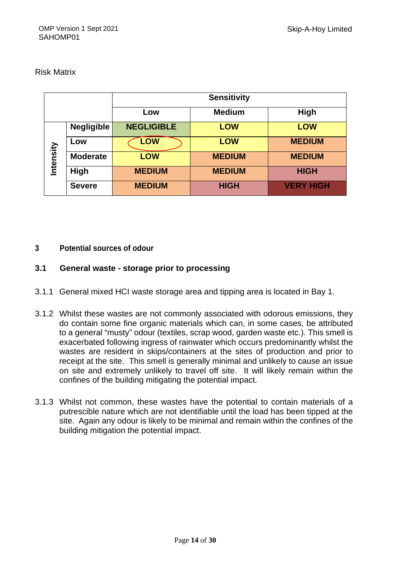#### Risk Matrix

|           |                   | <b>Sensitivity</b> |               |                  |  |
|-----------|-------------------|--------------------|---------------|------------------|--|
|           |                   | Low                | <b>Medium</b> | High             |  |
|           | <b>Negligible</b> | <b>NEGLIGIBLE</b>  | <b>LOW</b>    | <b>LOW</b>       |  |
| Intensity | Low               | <b>LOW</b>         | <b>LOW</b>    | <b>MEDIUM</b>    |  |
|           | <b>Moderate</b>   | <b>LOW</b>         | <b>MEDIUM</b> | <b>MEDIUM</b>    |  |
|           | High              | <b>MEDIUM</b>      | <b>MEDIUM</b> | <b>HIGH</b>      |  |
|           | <b>Severe</b>     | <b>MEDIUM</b>      | <b>HIGH</b>   | <b>VERY HIGH</b> |  |

#### **3 Potential sources of odour**

#### **3.1 General waste - storage prior to processing**

- 3.1.1 General mixed HCI waste storage area and tipping area is located in Bay 1.
- 3.1.2 Whilst these wastes are not commonly associated with odorous emissions, they do contain some fine organic materials which can, in some cases, be attributed to a general "musty" odour (textiles, scrap wood, garden waste etc.). This smell is exacerbated following ingress of rainwater which occurs predominantly whilst the wastes are resident in skips/containers at the sites of production and prior to receipt at the site. This smell is generally minimal and unlikely to cause an issue on site and extremely unlikely to travel off site. It will likely remain within the confines of the building mitigating the potential impact.
- 3.1.3 Whilst not common, these wastes have the potential to contain materials of a putrescible nature which are not identifiable until the load has been tipped at the site. Again any odour is likely to be minimal and remain within the confines of the building mitigation the potential impact.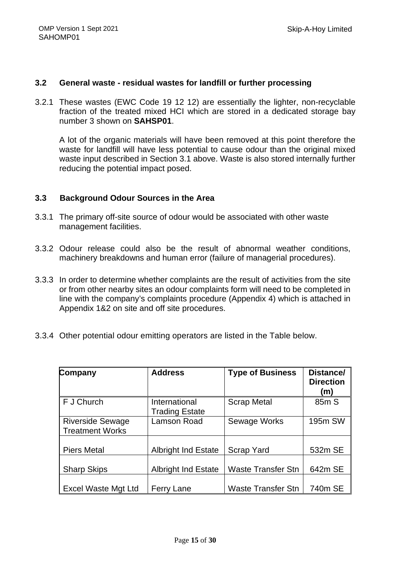#### **3.2 General waste - residual wastes for landfill or further processing**

3.2.1 These wastes (EWC Code 19 12 12) are essentially the lighter, non-recyclable fraction of the treated mixed HCI which are stored in a dedicated storage bay number 3 shown on **SAHSP01**.

A lot of the organic materials will have been removed at this point therefore the waste for landfill will have less potential to cause odour than the original mixed waste input described in Section 3.1 above. Waste is also stored internally further reducing the potential impact posed.

#### **3.3 Background Odour Sources in the Area**

- 3.3.1 The primary off-site source of odour would be associated with other waste management facilities.
- 3.3.2 Odour release could also be the result of abnormal weather conditions, machinery breakdowns and human error (failure of managerial procedures).
- 3.3.3 In order to determine whether complaints are the result of activities from the site or from other nearby sites an odour complaints form will need to be completed in line with the company's complaints procedure (Appendix 4) which is attached in Appendix 1&2 on site and off site procedures.
- 3.3.4 Other potential odour emitting operators are listed in the Table below.

| Company                                           | <b>Address</b>                         | <b>Type of Business</b>   | Distance/<br><b>Direction</b><br>(m) |
|---------------------------------------------------|----------------------------------------|---------------------------|--------------------------------------|
| F J Church                                        | International<br><b>Trading Estate</b> | <b>Scrap Metal</b>        | 85m S                                |
| <b>Riverside Sewage</b><br><b>Treatment Works</b> | Lamson Road                            | Sewage Works              | 195m SW                              |
| <b>Piers Metal</b>                                | <b>Albright Ind Estate</b>             | Scrap Yard                | 532m SE                              |
| <b>Sharp Skips</b>                                | <b>Albright Ind Estate</b>             | <b>Waste Transfer Stn</b> | 642m SE                              |
| <b>Excel Waste Mgt Ltd</b>                        | <b>Ferry Lane</b>                      | <b>Waste Transfer Stn</b> | 740m SE                              |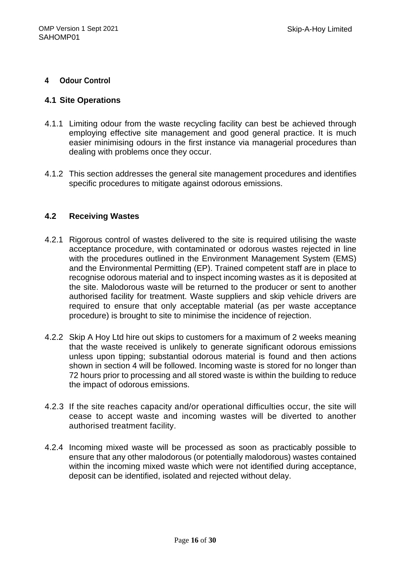#### **4 Odour Control**

#### **4.1 Site Operations**

- 4.1.1 Limiting odour from the waste recycling facility can best be achieved through employing effective site management and good general practice. It is much easier minimising odours in the first instance via managerial procedures than dealing with problems once they occur.
- 4.1.2 This section addresses the general site management procedures and identifies specific procedures to mitigate against odorous emissions.

#### **4.2 Receiving Wastes**

- 4.2.1 Rigorous control of wastes delivered to the site is required utilising the waste acceptance procedure, with contaminated or odorous wastes rejected in line with the procedures outlined in the Environment Management System (EMS) and the Environmental Permitting (EP). Trained competent staff are in place to recognise odorous material and to inspect incoming wastes as it is deposited at the site. Malodorous waste will be returned to the producer or sent to another authorised facility for treatment. Waste suppliers and skip vehicle drivers are required to ensure that only acceptable material (as per waste acceptance procedure) is brought to site to minimise the incidence of rejection.
- 4.2.2 Skip A Hoy Ltd hire out skips to customers for a maximum of 2 weeks meaning that the waste received is unlikely to generate significant odorous emissions unless upon tipping; substantial odorous material is found and then actions shown in section 4 will be followed. Incoming waste is stored for no longer than 72 hours prior to processing and all stored waste is within the building to reduce the impact of odorous emissions.
- 4.2.3 If the site reaches capacity and/or operational difficulties occur, the site will cease to accept waste and incoming wastes will be diverted to another authorised treatment facility.
- 4.2.4 Incoming mixed waste will be processed as soon as practicably possible to ensure that any other malodorous (or potentially malodorous) wastes contained within the incoming mixed waste which were not identified during acceptance, deposit can be identified, isolated and rejected without delay.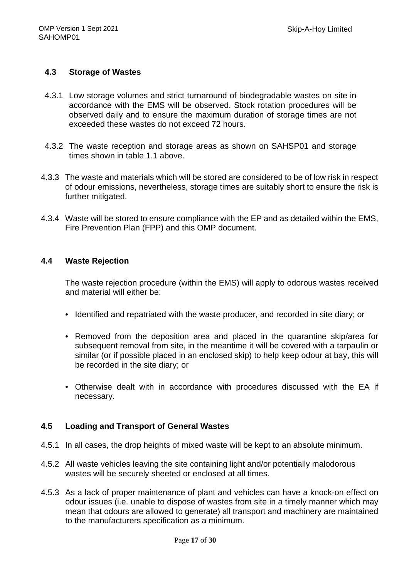#### **4.3 Storage of Wastes**

- 4.3.1 Low storage volumes and strict turnaround of biodegradable wastes on site in accordance with the EMS will be observed. Stock rotation procedures will be observed daily and to ensure the maximum duration of storage times are not exceeded these wastes do not exceed 72 hours.
- 4.3.2 The waste reception and storage areas as shown on SAHSP01 and storage times shown in table 1.1 above.
- 4.3.3 The waste and materials which will be stored are considered to be of low risk in respect of odour emissions, nevertheless, storage times are suitably short to ensure the risk is further mitigated.
- 4.3.4 Waste will be stored to ensure compliance with the EP and as detailed within the EMS, Fire Prevention Plan (FPP) and this OMP document.

#### **4.4 Waste Rejection**

 The waste rejection procedure (within the EMS) will apply to odorous wastes received and material will either be:

- Identified and repatriated with the waste producer, and recorded in site diary; or
- Removed from the deposition area and placed in the quarantine skip/area for subsequent removal from site, in the meantime it will be covered with a tarpaulin or similar (or if possible placed in an enclosed skip) to help keep odour at bay, this will be recorded in the site diary; or
- Otherwise dealt with in accordance with procedures discussed with the EA if necessary.

#### **4.5 Loading and Transport of General Wastes**

- 4.5.1 In all cases, the drop heights of mixed waste will be kept to an absolute minimum.
- 4.5.2 All waste vehicles leaving the site containing light and/or potentially malodorous wastes will be securely sheeted or enclosed at all times.
- 4.5.3 As a lack of proper maintenance of plant and vehicles can have a knock-on effect on odour issues (i.e. unable to dispose of wastes from site in a timely manner which may mean that odours are allowed to generate) all transport and machinery are maintained to the manufacturers specification as a minimum.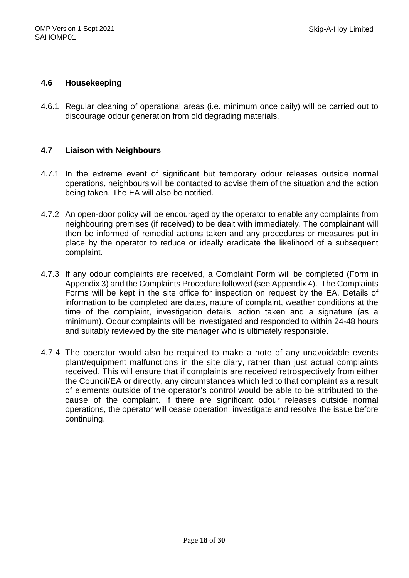#### **4.6 Housekeeping**

4.6.1 Regular cleaning of operational areas (i.e. minimum once daily) will be carried out to discourage odour generation from old degrading materials.

#### **4.7 Liaison with Neighbours**

- 4.7.1 In the extreme event of significant but temporary odour releases outside normal operations, neighbours will be contacted to advise them of the situation and the action being taken. The EA will also be notified.
- 4.7.2 An open-door policy will be encouraged by the operator to enable any complaints from neighbouring premises (if received) to be dealt with immediately. The complainant will then be informed of remedial actions taken and any procedures or measures put in place by the operator to reduce or ideally eradicate the likelihood of a subsequent complaint.
- 4.7.3 If any odour complaints are received, a Complaint Form will be completed (Form in Appendix 3) and the Complaints Procedure followed (see Appendix 4). The Complaints Forms will be kept in the site office for inspection on request by the EA. Details of information to be completed are dates, nature of complaint, weather conditions at the time of the complaint, investigation details, action taken and a signature (as a minimum). Odour complaints will be investigated and responded to within 24-48 hours and suitably reviewed by the site manager who is ultimately responsible.
- 4.7.4 The operator would also be required to make a note of any unavoidable events plant/equipment malfunctions in the site diary, rather than just actual complaints received. This will ensure that if complaints are received retrospectively from either the Council/EA or directly, any circumstances which led to that complaint as a result of elements outside of the operator's control would be able to be attributed to the cause of the complaint. If there are significant odour releases outside normal operations, the operator will cease operation, investigate and resolve the issue before continuing.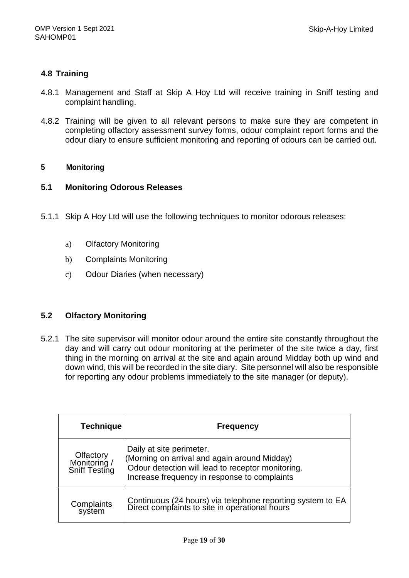#### **4.8 Training**

- 4.8.1 Management and Staff at Skip A Hoy Ltd will receive training in Sniff testing and complaint handling.
- 4.8.2 Training will be given to all relevant persons to make sure they are competent in completing olfactory assessment survey forms, odour complaint report forms and the odour diary to ensure sufficient monitoring and reporting of odours can be carried out.

#### **5 Monitoring**

#### **5.1 Monitoring Odorous Releases**

- 5.1.1 Skip A Hoy Ltd will use the following techniques to monitor odorous releases:
	- a) Olfactory Monitoring
	- b) Complaints Monitoring
	- c) Odour Diaries (when necessary)

#### **5.2 Olfactory Monitoring**

5.2.1 The site supervisor will monitor odour around the entire site constantly throughout the day and will carry out odour monitoring at the perimeter of the site twice a day, first thing in the morning on arrival at the site and again around Midday both up wind and down wind, this will be recorded in the site diary. Site personnel will also be responsible for reporting any odour problems immediately to the site manager (or deputy).

| <b>Technique</b>                           | <b>Frequency</b>                                                                                                                                                              |
|--------------------------------------------|-------------------------------------------------------------------------------------------------------------------------------------------------------------------------------|
| Olfactory<br>Monitoring /<br>Sniff Testing | Daily at site perimeter.<br>(Morning on arrival and again around Midday)<br>Odour detection will lead to receptor monitoring.<br>Increase frequency in response to complaints |
| Complaints<br>system                       | Continuous (24 hours) via telephone reporting system to EA<br>Direct complaints to site in operational hours                                                                  |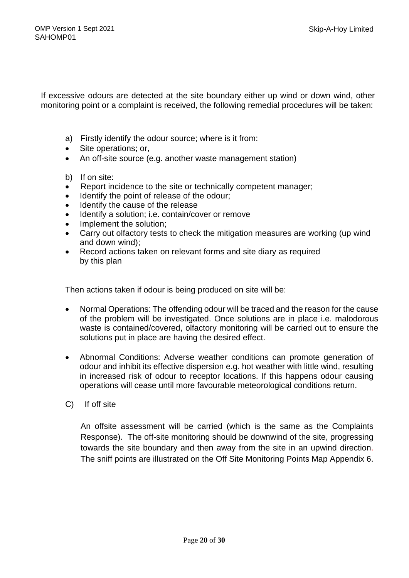If excessive odours are detected at the site boundary either up wind or down wind, other monitoring point or a complaint is received, the following remedial procedures will be taken:

- a) Firstly identify the odour source; where is it from:
- Site operations; or,
- An off-site source (e.g. another waste management station)
- b) If on site:
- Report incidence to the site or technically competent manager;
- Identify the point of release of the odour;
- Identify the cause of the release
- Identify a solution; i.e. contain/cover or remove
- Implement the solution;
- Carry out olfactory tests to check the mitigation measures are working (up wind and down wind);
- Record actions taken on relevant forms and site diary as required by this plan

Then actions taken if odour is being produced on site will be:

- Normal Operations: The offending odour will be traced and the reason for the cause of the problem will be investigated. Once solutions are in place i.e. malodorous waste is contained/covered, olfactory monitoring will be carried out to ensure the solutions put in place are having the desired effect.
- Abnormal Conditions: Adverse weather conditions can promote generation of odour and inhibit its effective dispersion e.g. hot weather with little wind, resulting in increased risk of odour to receptor locations. If this happens odour causing operations will cease until more favourable meteorological conditions return.
- C) If off site

An offsite assessment will be carried (which is the same as the Complaints Response). The off-site monitoring should be downwind of the site, progressing towards the site boundary and then away from the site in an upwind direction. The sniff points are illustrated on the Off Site Monitoring Points Map Appendix 6.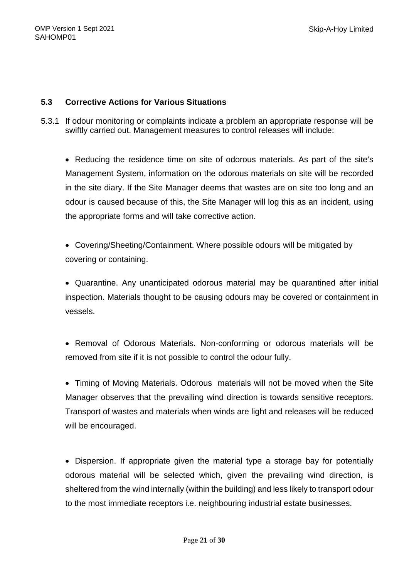#### **5.3 Corrective Actions for Various Situations**

5.3.1 If odour monitoring or complaints indicate a problem an appropriate response will be swiftly carried out. Management measures to control releases will include:

 Reducing the residence time on site of odorous materials. As part of the site's Management System, information on the odorous materials on site will be recorded in the site diary. If the Site Manager deems that wastes are on site too long and an odour is caused because of this, the Site Manager will log this as an incident, using the appropriate forms and will take corrective action.

 Covering/Sheeting/Containment. Where possible odours will be mitigated by covering or containing.

 Quarantine. Any unanticipated odorous material may be quarantined after initial inspection. Materials thought to be causing odours may be covered or containment in vessels.

• Removal of Odorous Materials. Non-conforming or odorous materials will be removed from site if it is not possible to control the odour fully.

 Timing of Moving Materials. Odorous materials will not be moved when the Site Manager observes that the prevailing wind direction is towards sensitive receptors. Transport of wastes and materials when winds are light and releases will be reduced will be encouraged.

 Dispersion. If appropriate given the material type a storage bay for potentially odorous material will be selected which, given the prevailing wind direction, is sheltered from the wind internally (within the building) and less likely to transport odour to the most immediate receptors i.e. neighbouring industrial estate businesses.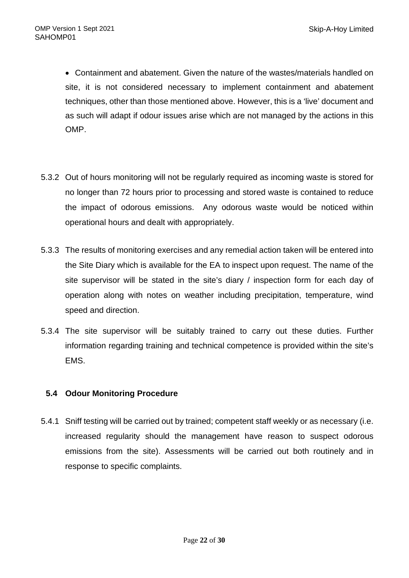Containment and abatement. Given the nature of the wastes/materials handled on site, it is not considered necessary to implement containment and abatement techniques, other than those mentioned above. However, this is a 'live' document and as such will adapt if odour issues arise which are not managed by the actions in this OMP.

- 5.3.2 Out of hours monitoring will not be regularly required as incoming waste is stored for no longer than 72 hours prior to processing and stored waste is contained to reduce the impact of odorous emissions. Any odorous waste would be noticed within operational hours and dealt with appropriately.
- 5.3.3 The results of monitoring exercises and any remedial action taken will be entered into the Site Diary which is available for the EA to inspect upon request. The name of the site supervisor will be stated in the site's diary / inspection form for each day of operation along with notes on weather including precipitation, temperature, wind speed and direction.
- 5.3.4 The site supervisor will be suitably trained to carry out these duties. Further information regarding training and technical competence is provided within the site's EMS.

#### **5.4 Odour Monitoring Procedure**

 5.4.1 Sniff testing will be carried out by trained; competent staff weekly or as necessary (i.e. increased regularity should the management have reason to suspect odorous emissions from the site). Assessments will be carried out both routinely and in response to specific complaints.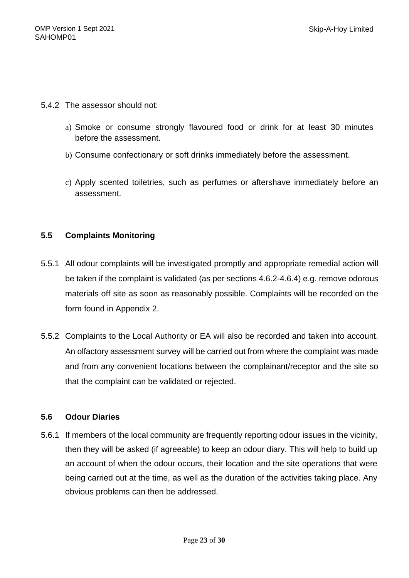- 5.4.2 The assessor should not:
	- a) Smoke or consume strongly flavoured food or drink for at least 30 minutes before the assessment.
	- b) Consume confectionary or soft drinks immediately before the assessment.
	- c) Apply scented toiletries, such as perfumes or aftershave immediately before an assessment.

#### **5.5 Complaints Monitoring**

- 5.5.1 All odour complaints will be investigated promptly and appropriate remedial action will be taken if the complaint is validated (as per sections 4.6.2-4.6.4) e.g. remove odorous materials off site as soon as reasonably possible. Complaints will be recorded on the form found in Appendix 2.
- 5.5.2 Complaints to the Local Authority or EA will also be recorded and taken into account. An olfactory assessment survey will be carried out from where the complaint was made and from any convenient locations between the complainant/receptor and the site so that the complaint can be validated or rejected.

#### **5.6 Odour Diaries**

5.6.1 If members of the local community are frequently reporting odour issues in the vicinity, then they will be asked (if agreeable) to keep an odour diary. This will help to build up an account of when the odour occurs, their location and the site operations that were being carried out at the time, as well as the duration of the activities taking place. Any obvious problems can then be addressed.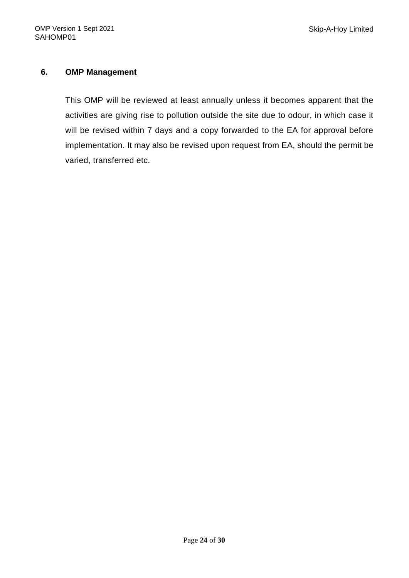#### **6. OMP Management**

This OMP will be reviewed at least annually unless it becomes apparent that the activities are giving rise to pollution outside the site due to odour, in which case it will be revised within 7 days and a copy forwarded to the EA for approval before implementation. It may also be revised upon request from EA, should the permit be varied, transferred etc.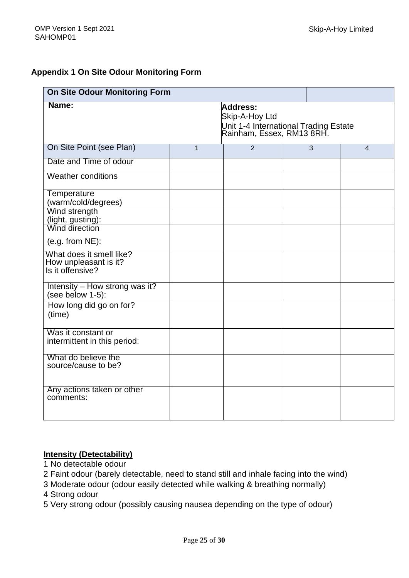#### **Appendix 1 On Site Odour Monitoring Form**

| <b>On Site Odour Monitoring Form</b>                                  |              |                                                                                                  |  |   |                |
|-----------------------------------------------------------------------|--------------|--------------------------------------------------------------------------------------------------|--|---|----------------|
| Name:                                                                 |              | Address:<br>Skip-A-Hoy Ltd<br>Unit 1-4 International Trading Estate<br>Rainham, Essex, RM13 8RH. |  |   |                |
| On Site Point (see Plan)                                              | $\mathbf{1}$ | $\overline{2}$                                                                                   |  | 3 | $\overline{4}$ |
| Date and Time of odour                                                |              |                                                                                                  |  |   |                |
| <b>Weather conditions</b>                                             |              |                                                                                                  |  |   |                |
| <b>Temperature</b><br>(warm/cold/degrees)                             |              |                                                                                                  |  |   |                |
| Wind strength<br>(light, gusting):                                    |              |                                                                                                  |  |   |                |
| Wind direction<br>$(e.g. from NE)$ :                                  |              |                                                                                                  |  |   |                |
| What does it smell like?<br>How unpleasant is it?<br>Is it offensive? |              |                                                                                                  |  |   |                |
| Intensity - How strong was it?<br>(see below 1-5):                    |              |                                                                                                  |  |   |                |
| How long did go on for?<br>(time)                                     |              |                                                                                                  |  |   |                |
| Was it constant or<br>intermittent in this period:                    |              |                                                                                                  |  |   |                |
| What do believe the<br>source/cause to be?                            |              |                                                                                                  |  |   |                |
| Any actions taken or other<br>comments:                               |              |                                                                                                  |  |   |                |

#### **Intensity (Detectability)**

- 1 No detectable odour
- 2 Faint odour (barely detectable, need to stand still and inhale facing into the wind)
- 3 Moderate odour (odour easily detected while walking & breathing normally)
- 4 Strong odour
- 5 Very strong odour (possibly causing nausea depending on the type of odour)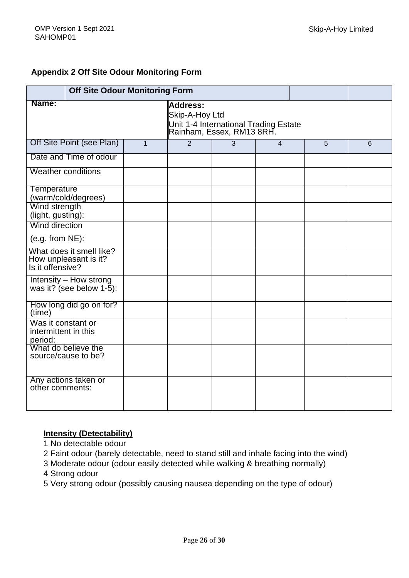#### **Appendix 2 Off Site Odour Monitoring Form**

| <b>Off Site Odour Monitoring Form</b>                                   |              |                                                                                                  |   |                |   |   |
|-------------------------------------------------------------------------|--------------|--------------------------------------------------------------------------------------------------|---|----------------|---|---|
| Name:                                                                   |              | Address:<br>Skip-A-Hoy Ltd<br>Unit 1-4 International Trading Estate<br>Rainham, Essex, RM13 8RH. |   |                |   |   |
| Off Site Point (see Plan)                                               | $\mathbf{1}$ | $\overline{2}$                                                                                   | 3 | $\overline{4}$ | 5 | 6 |
| Date and Time of odour                                                  |              |                                                                                                  |   |                |   |   |
| <b>Weather conditions</b>                                               |              |                                                                                                  |   |                |   |   |
| Temperature<br>(warm/cold/degrees)                                      |              |                                                                                                  |   |                |   |   |
| Wind strength<br>(light, gusting):                                      |              |                                                                                                  |   |                |   |   |
| Wind direction                                                          |              |                                                                                                  |   |                |   |   |
| $(e.g. from NE)$ :                                                      |              |                                                                                                  |   |                |   |   |
| What does it smell like?<br>How unpleasant is it?<br>Is it offensive?   |              |                                                                                                  |   |                |   |   |
| <b>Intensity - How strong</b><br>was it? (see below $1-\overline{5}$ ): |              |                                                                                                  |   |                |   |   |
| How long did go on for?<br>(time)                                       |              |                                                                                                  |   |                |   |   |
| Was it constant or<br>intermittent in this<br>period:                   |              |                                                                                                  |   |                |   |   |
| What do believe the<br>source/cause to be?                              |              |                                                                                                  |   |                |   |   |
| Any actions taken or<br>other comments:                                 |              |                                                                                                  |   |                |   |   |

#### **Intensity (Detectability)**

1 No detectable odour

2 Faint odour (barely detectable, need to stand still and inhale facing into the wind)

3 Moderate odour (odour easily detected while walking & breathing normally)

4 Strong odour

5 Very strong odour (possibly causing nausea depending on the type of odour)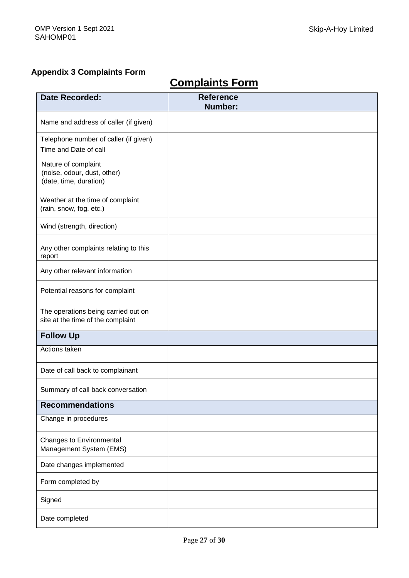## **Appendix 3 Complaints Form**

# **Complaints Form**

| <b>Date Recorded:</b>                                                        | <b>Reference</b><br>Number: |  |  |  |
|------------------------------------------------------------------------------|-----------------------------|--|--|--|
| Name and address of caller (if given)                                        |                             |  |  |  |
| Telephone number of caller (if given)                                        |                             |  |  |  |
| Time and Date of call                                                        |                             |  |  |  |
| Nature of complaint<br>(noise, odour, dust, other)<br>(date, time, duration) |                             |  |  |  |
| Weather at the time of complaint<br>(rain, snow, fog, etc.)                  |                             |  |  |  |
| Wind (strength, direction)                                                   |                             |  |  |  |
| Any other complaints relating to this<br>report                              |                             |  |  |  |
| Any other relevant information                                               |                             |  |  |  |
| Potential reasons for complaint                                              |                             |  |  |  |
| The operations being carried out on<br>site at the time of the complaint     |                             |  |  |  |
| <b>Follow Up</b>                                                             |                             |  |  |  |
| Actions taken                                                                |                             |  |  |  |
| Date of call back to complainant                                             |                             |  |  |  |
| Summary of call back conversation                                            |                             |  |  |  |
| <b>Recommendations</b>                                                       |                             |  |  |  |
| Change in procedures                                                         |                             |  |  |  |
| Changes to Environmental<br>Management System (EMS)                          |                             |  |  |  |
| Date changes implemented                                                     |                             |  |  |  |
| Form completed by                                                            |                             |  |  |  |
| Signed                                                                       |                             |  |  |  |
| Date completed                                                               |                             |  |  |  |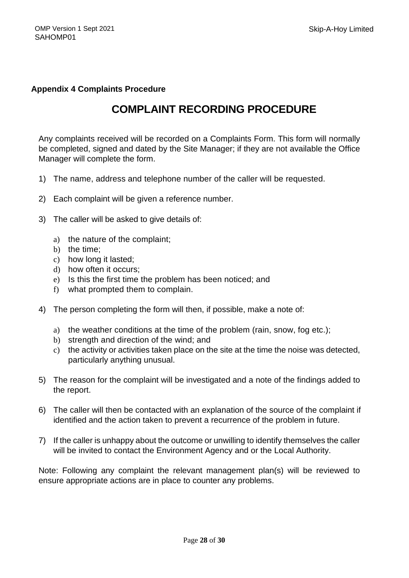#### **Appendix 4 Complaints Procedure**

# **COMPLAINT RECORDING PROCEDURE**

Any complaints received will be recorded on a Complaints Form. This form will normally be completed, signed and dated by the Site Manager; if they are not available the Office Manager will complete the form.

- 1) The name, address and telephone number of the caller will be requested.
- 2) Each complaint will be given a reference number.
- 3) The caller will be asked to give details of:
	- a) the nature of the complaint;
	- b) the time;
	- c) how long it lasted;
	- d) how often it occurs;
	- e) Is this the first time the problem has been noticed; and
	- f) what prompted them to complain.
- 4) The person completing the form will then, if possible, make a note of:
	- a) the weather conditions at the time of the problem (rain, snow, fog etc.);
	- b) strength and direction of the wind; and
	- c) the activity or activities taken place on the site at the time the noise was detected, particularly anything unusual.
- 5) The reason for the complaint will be investigated and a note of the findings added to the report.
- 6) The caller will then be contacted with an explanation of the source of the complaint if identified and the action taken to prevent a recurrence of the problem in future.
- 7) If the caller is unhappy about the outcome or unwilling to identify themselves the caller will be invited to contact the Environment Agency and or the Local Authority.

Note: Following any complaint the relevant management plan(s) will be reviewed to ensure appropriate actions are in place to counter any problems.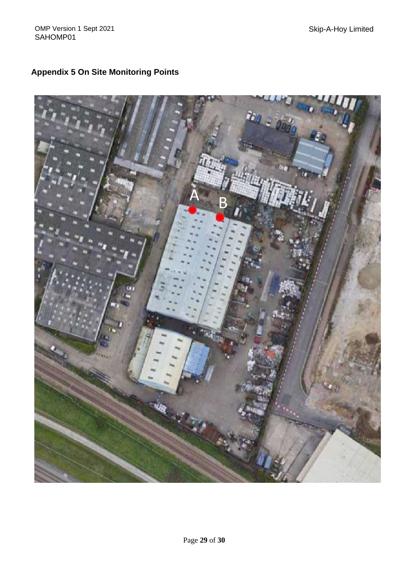# **Appendix 5 On Site Monitoring Points**